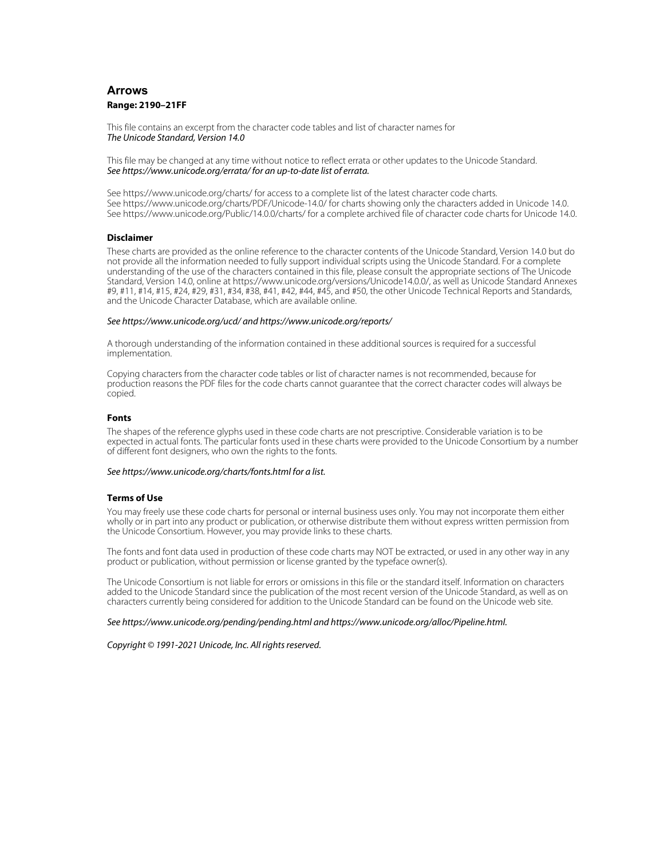# **Arrows Range: 2190–21FF**

This file contains an excerpt from the character code tables and list of character names for The Unicode Standard, Version 14.0

This file may be changed at any time without notice to reflect errata or other updates to the Unicode Standard. See https://www.unicode.org/errata/ for an up-to-date list of errata.

See https://www.unicode.org/charts/ for access to a complete list of the latest character code charts. See https://www.unicode.org/charts/PDF/Unicode-14.0/ for charts showing only the characters added in Unicode 14.0. See https://www.unicode.org/Public/14.0.0/charts/ for a complete archived file of character code charts for Unicode 14.0.

## **Disclaimer**

These charts are provided as the online reference to the character contents of the Unicode Standard, Version 14.0 but do not provide all the information needed to fully support individual scripts using the Unicode Standard. For a complete understanding of the use of the characters contained in this file, please consult the appropriate sections of The Unicode Standard, Version 14.0, online at https://www.unicode.org/versions/Unicode14.0.0/, as well as Unicode Standard Annexes #9, #11, #14, #15, #24, #29, #31, #34, #38, #41, #42, #44, #45, and #50, the other Unicode Technical Reports and Standards, and the Unicode Character Database, which are available online.

### See https://www.unicode.org/ucd/ and https://www.unicode.org/reports/

A thorough understanding of the information contained in these additional sources is required for a successful implementation.

Copying characters from the character code tables or list of character names is not recommended, because for production reasons the PDF files for the code charts cannot guarantee that the correct character codes will always be copied.

### **Fonts**

The shapes of the reference glyphs used in these code charts are not prescriptive. Considerable variation is to be expected in actual fonts. The particular fonts used in these charts were provided to the Unicode Consortium by a number of different font designers, who own the rights to the fonts.

## See https://www.unicode.org/charts/fonts.html for a list.

### **Terms of Use**

You may freely use these code charts for personal or internal business uses only. You may not incorporate them either wholly or in part into any product or publication, or otherwise distribute them without express written permission from the Unicode Consortium. However, you may provide links to these charts.

The fonts and font data used in production of these code charts may NOT be extracted, or used in any other way in any product or publication, without permission or license granted by the typeface owner(s).

The Unicode Consortium is not liable for errors or omissions in this file or the standard itself. Information on characters added to the Unicode Standard since the publication of the most recent version of the Unicode Standard, as well as on characters currently being considered for addition to the Unicode Standard can be found on the Unicode web site.

#### See https://www.unicode.org/pending/pending.html and https://www.unicode.org/alloc/Pipeline.html.

Copyright © 1991-2021 Unicode, Inc. All rights reserved.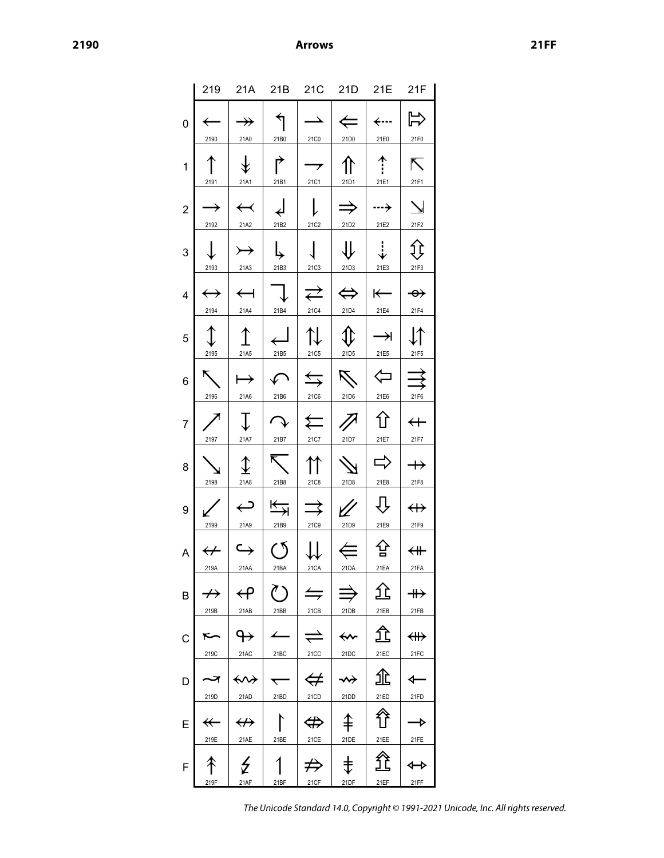|                |                           | 219 21A 21B 21C 21D 21E 21F                                  |                                              |                                                   |                                                                 |                             |                              |
|----------------|---------------------------|--------------------------------------------------------------|----------------------------------------------|---------------------------------------------------|-----------------------------------------------------------------|-----------------------------|------------------------------|
| 0              | 2190                      | $\rightarrow$<br>21A0                                        | $\overline{\mathcal{L}}$<br>21B0             | $\rightarrow$<br>21C0                             | $\Leftarrow$ $\mid$<br>21D0                                     | $\leftarrow$<br>21E0        | $\Rightarrow$<br>21F0        |
| 1              | 2191                      | $\hat{\mathcal{F}}$<br>21A1                                  | ↱<br>21B1                                    | $\rightarrow$ $\overline{\phantom{a}}$<br>21C1    | $\mathcal{L}$<br>21D1                                           | 个!<br>21E1                  | Ñ<br>21F1                    |
| $\overline{2}$ | $\rightarrow$<br>2192     | $\leftarrow$<br>21A2                                         | $\downarrow$<br>21B2                         | $\mathsf{L}$<br>21C2                              | $\Rightarrow$<br>21D2                                           | $\rightarrow$<br>21E2       | $\searrow$<br>21F2           |
| 3              | $\downarrow$<br>2193      | $\rightarrow$<br>21A3                                        | ち<br>21B3                                    | $\sqrt{2}$<br><b>21C3</b>                         | $\downarrow$<br>21D3                                            | $\ddot{\downarrow}$<br>21E3 | Įţ<br>21F3                   |
| 4              | $\leftrightarrow$<br>2194 | $\leftarrow$<br>21A4                                         | $\bigcup$<br>21B4                            | 21C4                                              | $\Rightarrow$ $\Rightarrow$ $\Rightarrow$ $\Rightarrow$<br>21D4 | $\leftarrow$<br>21E4        | $\rightarrow$<br>21F4        |
| 5              | $\mathbb{I}$<br>2195      | $\uparrow$<br>21A5                                           | $\overline{\phantom{a}}$<br>21B5             | $\mathfrak{r}$  <br>21C5                          | $\mathbb{C}$<br>21D5                                            | $\rightarrow$<br>21E5       | $\downarrow\uparrow$<br>21F5 |
| 6              | K.<br>2196                | $\mapsto$<br>21A6                                            | $\curvearrowleft$<br>21B6                    | $\Rightarrow$ $\Rightarrow$ $\Rightarrow$<br>21C6 | $\mathcal{L}$<br>21D6                                           | $\Leftrightarrow$<br>21E6   | $\rightrightarrows$<br>21F6  |
| 7              | 2197                      | $\mathbb{L}$<br>21A7                                         | $\curvearrowright$<br>21B7                   | 21C7                                              | $\leftarrows$ 1<br>21D7                                         | ⇧<br>21E7                   | $\leftarrow$<br>21F7         |
| 8              | 2198                      | $\hat{\mathbf{t}}$<br>21A8                                   | $\overline{\nabla}$<br>21B8                  | 21C8                                              | 21D8                                                            | $\Rightarrow$<br>21E8       | $\rightarrow$<br>21F8        |
| 9              | 2199                      | $\hookleftarrow$<br>21A9                                     | $\overline{\overline{\overline{z}}}$<br>21B9 | $\Rightarrow$<br><b>21C9</b>                      | 21D9                                                            | ┺<br>21E9                   | $\leftrightarrow$<br>21F9    |
| A              | 219A                      | $\leftarrow$ $\left\vert \leftrightarrow\right\vert$<br>21AA | 21BA                                         | $0   \#   \#$<br>21 CA                            | 21DA                                                            | 삼<br>21EA                   | $\leftarrow$<br>21FA         |
| Β              | $\not\rightarrow$<br>219B | $\bm{\bm{\leftrightarrow}}$<br>21AB                          | $\zeta$ )<br>21BB                            | $\leftrightharpoons$<br>21CB                      | 21DB                                                            | ſÈ<br>21EB                  | $\twoheadrightarrow$<br>21FB |
| C              | 219C                      | ↬<br>21AC                                                    | 21BC                                         | $\rightleftharpoons$<br>21CC                      | ⇜<br>21DC                                                       | ፹<br>21EC                   | ∰<br>21FC                    |
| D              | 219D                      | ↭<br>21AD                                                    | 21BD                                         | $\Leftrightarrow$<br>21CD                         | ↝<br>21DD                                                       | 兆<br>21ED                   | ⇽<br>21FD                    |
| Е              | $\leftarrow$<br>219E      | $\leftrightarrow$<br>21AE                                    | 21BE                                         | $\Leftrightarrow$<br>21CE                         | ⇞<br>21DE                                                       | 谷<br>21EE                   | →<br>21FE                    |
| F              | 219F                      | ₹<br>21AF                                                    | 21BF                                         | $\not\Rightarrow$<br>21CF                         | 击<br>21DF                                                       | 21EF                        | <br>21FF                     |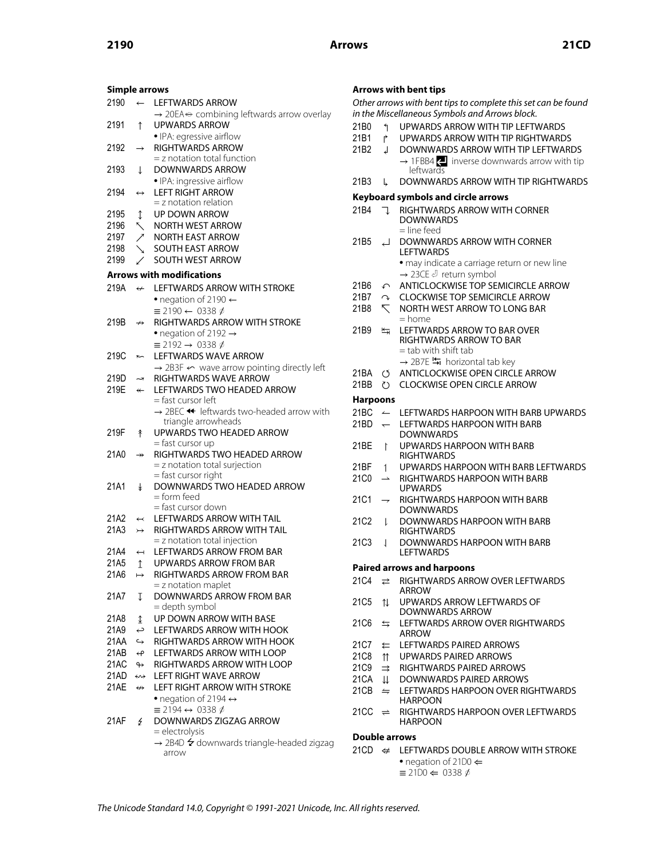| <b>Simple arrows</b> |                                                                         |                                                                        |
|----------------------|-------------------------------------------------------------------------|------------------------------------------------------------------------|
| 2190                 | $\leftarrow$                                                            | LEFTWARDS ARROW                                                        |
|                      |                                                                         | $\rightarrow$ 20EA $\leftrightarrow$ combining leftwards arrow overlay |
| 2191                 | $\uparrow$                                                              | <b>UPWARDS ARROW</b>                                                   |
|                      |                                                                         | • IPA: egressive airflow                                               |
| 2192                 | $\rightarrow$                                                           | <b>RIGHTWARDS ARROW</b>                                                |
|                      |                                                                         | $=$ z notation total function                                          |
| 2193                 | T                                                                       | <b>DOWNWARDS ARROW</b>                                                 |
|                      |                                                                         | • IPA: ingressive airflow                                              |
|                      |                                                                         | <b>LEFT RIGHT ARROW</b>                                                |
| 2194                 | $\leftrightarrow$                                                       | $=$ z notation relation                                                |
|                      |                                                                         |                                                                        |
| 2195                 | $\updownarrow$                                                          | <b>UP DOWN ARROW</b>                                                   |
| 2196                 | $\breve{}$                                                              | <b>NORTH WEST ARROW</b>                                                |
| 2197                 | $\begin{array}{c} \diagup \ {{\color{red} {\bf \diagup }}} \end{array}$ | <b>NORTH EAST ARROW</b>                                                |
| 2198                 |                                                                         | <b>SOUTH EAST ARROW</b>                                                |
| 2199                 |                                                                         | <b>SOUTH WEST ARROW</b>                                                |
|                      |                                                                         | <b>Arrows with modifications</b>                                       |
|                      |                                                                         |                                                                        |
| 219A                 | $\leftrightarrow$                                                       | LEFTWARDS ARROW WITH STROKE                                            |
|                      |                                                                         | • negation of 2190 $\leftarrow$                                        |
|                      |                                                                         | $\equiv 2190 \leftarrow 0338 \phi$                                     |
| 219B                 | $\nrightarrow$                                                          | <b>RIGHTWARDS ARROW WITH STROKE</b>                                    |
|                      |                                                                         | • negation of 2192 $\rightarrow$                                       |
|                      |                                                                         | $\equiv$ 2192 $\rightarrow$ 0338 $\phi$                                |
| 219C                 | r                                                                       | LEFTWARDS WAVE ARROW                                                   |
|                      |                                                                         | $\rightarrow$ 2B3F $\leftarrow$ wave arrow pointing directly left      |
| 219D                 | ہہ                                                                      | <b>RIGHTWARDS WAVE ARROW</b>                                           |
| 219E                 | $\leftarrow$                                                            | LEFTWARDS TWO HEADED ARROW                                             |
|                      |                                                                         | = fast cursor left                                                     |
|                      |                                                                         | → 2BEC ← leftwards two-headed arrow with                               |
|                      |                                                                         | triangle arrowheads                                                    |
| 219F                 | 牟                                                                       | UPWARDS TWO HEADED ARROW                                               |
|                      |                                                                         | = fast cursor up                                                       |
| 21A0                 | $\rightarrow$                                                           | RIGHTWARDS TWO HEADED ARROW                                            |
|                      |                                                                         | = z notation total surjection                                          |
|                      |                                                                         | = fast cursor right                                                    |
| 21A1                 | $\ddagger$                                                              | DOWNWARDS TWO HEADED ARROW                                             |
|                      |                                                                         | = form feed                                                            |
|                      |                                                                         | = fast cursor down                                                     |
| 21A2                 | $\leftarrow$                                                            | <b>LEFTWARDS ARROW WITH TAIL</b>                                       |
| 21A3                 | $\rightarrow$                                                           | <b>RIGHTWARDS ARROW WITH TAIL</b>                                      |
|                      |                                                                         | = z notation total injection                                           |
| 21A4                 | $\overline{\phantom{0}}$                                                | LEFTWARDS ARROW FROM BAR                                               |
| 21A5                 | $\uparrow$                                                              | <b>UPWARDS ARROW FROM BAR</b>                                          |
|                      |                                                                         |                                                                        |
| 21A6                 | $\mapsto$                                                               | RIGHTWARDS ARROW FROM BAR                                              |
|                      |                                                                         | $=$ z notation maplet                                                  |
| 21A7                 | Ţ                                                                       | <b>DOWNWARDS ARROW FROM BAR</b>                                        |
|                      |                                                                         | = depth symbol                                                         |
| 21A8                 | ↨                                                                       | UP DOWN ARROW WITH BASE                                                |
| 21A9                 | ب                                                                       | <b>LEFTWARDS ARROW WITH HOOK</b>                                       |
| 21AA                 | $\hookrightarrow$                                                       | RIGHTWARDS ARROW WITH HOOK                                             |
| 21AB                 | $\overline{\mathbf{f}}$                                                 | LEFTWARDS ARROW WITH LOOP                                              |
| 21AC                 | $\leftrightarrow$                                                       | RIGHTWARDS ARROW WITH LOOP                                             |
| 21AD                 | ⇜                                                                       | <b>LEFT RIGHT WAVE ARROW</b>                                           |
| 21AE                 | $\leftrightarrow$                                                       | LEFT RIGHT ARROW WITH STROKE                                           |
|                      |                                                                         | • negation of 2194 $\leftrightarrow$                                   |
|                      |                                                                         | $\equiv$ 2194 $\leftrightarrow$ 0338 $\phi$                            |
| 21AF                 | Ł                                                                       | DOWNWARDS ZIGZAG ARROW                                                 |
|                      |                                                                         | = electrolysis                                                         |
|                      |                                                                         | $\rightarrow$ 2B4D $\neq$ downwards triangle-headed zigzag             |
|                      |                                                                         | arrow                                                                  |
|                      |                                                                         |                                                                        |

## **Arrows with bent tips**

| Arrows with bent tips |                          |                                                                   |  |
|-----------------------|--------------------------|-------------------------------------------------------------------|--|
|                       |                          | Other arrows with bent tips to complete this set can be found     |  |
|                       |                          | in the Miscellaneous Symbols and Arrows block.                    |  |
| 21B0                  | ↰                        | UPWARDS ARROW WITH TIP LEFTWARDS                                  |  |
| 21B1                  | Ļ,                       | UPWARDS ARROW WITH TIP RIGHTWARDS                                 |  |
| 21 <sub>B2</sub>      | ┙                        | DOWNWARDS ARROW WITH TIP LEFTWARDS                                |  |
|                       |                          | $\rightarrow$ 1FBB4 $\leftarrow$ inverse downwards arrow with tip |  |
|                       |                          | leftwards                                                         |  |
| 21B3                  | L                        | DOWNWARDS ARROW WITH TIP RIGHTWARDS                               |  |
|                       |                          |                                                                   |  |
|                       |                          | Keyboard symbols and circle arrows                                |  |
| 21 <sub>B4</sub>      | ٦.                       | RIGHTWARDS ARROW WITH CORNER                                      |  |
|                       |                          | <b>DOWNWARDS</b>                                                  |  |
|                       |                          | = line feed<br><b>DOWNWARDS ARROW WITH CORNER</b>                 |  |
| 21B5                  | ┙                        | <b>LEFTWARDS</b>                                                  |  |
|                       |                          |                                                                   |  |
|                       |                          | · may indicate a carriage return or new line                      |  |
|                       |                          | → 23CE J return symbol                                            |  |
| 21B6                  | $\curvearrowleft$        | ANTICLOCKWISE TOP SEMICIRCLE ARROW                                |  |
| 21B7                  | $\curvearrowright$       | <b>CLOCKWISE TOP SEMICIRCLE ARROW</b>                             |  |
| 21B8                  | $\overline{\phantom{a}}$ | NORTH WEST ARROW TO LONG BAR                                      |  |
|                       |                          | = home                                                            |  |
| 21B9                  | 与                        | LEFTWARDS ARROW TO BAR OVER<br><b>RIGHTWARDS ARROW TO BAR</b>     |  |
|                       |                          | $=$ tab with shift tab                                            |  |
|                       |                          | > 2B7E גל horizontal tab key                                      |  |
|                       |                          |                                                                   |  |
| 21BA                  | O                        | ANTICLOCKWISE OPEN CIRCLE ARROW                                   |  |
| 21BB                  | $\mathcal{L}$            | <b>CLOCKWISE OPEN CIRCLE ARROW</b>                                |  |
| <b>Harpoons</b>       |                          |                                                                   |  |
| 21BC                  | $\leftarrow$             | LEFTWARDS HARPOON WITH BARB UPWARDS                               |  |
| 21BD                  | $\overline{\phantom{0}}$ | <b>LEFTWARDS HARPOON WITH BARB</b>                                |  |
|                       |                          | <b>DOWNWARDS</b>                                                  |  |
| 21BE                  | ľ                        | <b>UPWARDS HARPOON WITH BARB</b>                                  |  |
|                       |                          | <b>RIGHTWARDS</b>                                                 |  |
| 21BF                  | $\mathbf{1}$             | UPWARDS HARPOON WITH BARB LEFTWARDS                               |  |
| 21C0                  | $\rightharpoonup$        | RIGHTWARDS HARPOON WITH BARB                                      |  |
|                       |                          | UPWARDS                                                           |  |
| 21C1                  | $\rightarrow$            | RIGHTWARDS HARPOON WITH BARB                                      |  |
|                       |                          | <b>DOWNWARDS</b>                                                  |  |
| 21C <sub>2</sub>      | l                        | DOWNWARDS HARPOON WITH BARB                                       |  |
|                       |                          | <b>RIGHTWARDS</b>                                                 |  |
| 21C3                  | 1                        | DOWNWARDS HARPOON WITH BARB                                       |  |
|                       |                          | <b>LEFTWARDS</b>                                                  |  |
|                       |                          | <b>Paired arrows and harpoons</b>                                 |  |
| 21C4                  | ⇄                        | RIGHTWARDS ARROW OVER LEFTWARDS                                   |  |
|                       |                          | ARROW                                                             |  |
| 21C5                  | ⇅                        | UPWARDS ARROW LEFTWARDS OF                                        |  |
|                       |                          | DOWNWARDS ARROW                                                   |  |
| 21C6                  | ⇆                        | LEFTWARDS ARROW OVER RIGHTWARDS                                   |  |
|                       |                          | ARROW                                                             |  |
| 21C7                  | ⇇                        | LEFTWARDS PAIRED ARROWS                                           |  |
| 21C8                  | ⇈                        | UPWARDS PAIRED ARROWS                                             |  |
| 21C9                  | ⇉                        | <b>RIGHTWARDS PAIRED ARROWS</b>                                   |  |
| 21CA                  | ⇊                        | DOWNWARDS PAIRED ARROWS                                           |  |
| 21CB                  | $\leftrightharpoons$     | LEFTWARDS HARPOON OVER RIGHTWARDS                                 |  |
|                       |                          | <b>HARPOON</b>                                                    |  |
| 21CC                  | $\rightleftharpoons$     | RIGHTWARDS HARPOON OVER LEFTWARDS                                 |  |
|                       |                          | HARPOON                                                           |  |
| Double arrows         |                          |                                                                   |  |
|                       |                          | 21CD $\leftrightarrow$ LEFTWARDS DOUBLE ARROW WITH STROKE         |  |
|                       |                          |                                                                   |  |

• negation of 21D0 ⇐  $\equiv$  21D0  $\Leftarrow$  0338  $\phi$